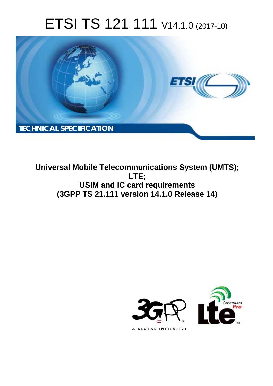# ETSI TS 121 111 V14.1.0 (2017-10)



**Universal Mobile Telecommunications System (UMTS); LTE; USIM and IC card requirements (3GPP TS 21.111 version 14.1.0 Release 14)** 

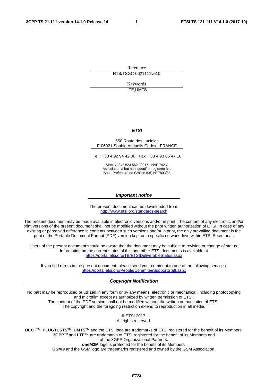Reference RTS/TSGC-0621111ve10

> Keywords LTE,UMTS

#### *ETSI*

#### 650 Route des Lucioles F-06921 Sophia Antipolis Cedex - FRANCE

Tel.: +33 4 92 94 42 00 Fax: +33 4 93 65 47 16

Siret N° 348 623 562 00017 - NAF 742 C Association à but non lucratif enregistrée à la Sous-Préfecture de Grasse (06) N° 7803/88

#### *Important notice*

The present document can be downloaded from: <http://www.etsi.org/standards-search>

The present document may be made available in electronic versions and/or in print. The content of any electronic and/or print versions of the present document shall not be modified without the prior written authorization of ETSI. In case of any existing or perceived difference in contents between such versions and/or in print, the only prevailing document is the print of the Portable Document Format (PDF) version kept on a specific network drive within ETSI Secretariat.

Users of the present document should be aware that the document may be subject to revision or change of status. Information on the current status of this and other ETSI documents is available at <https://portal.etsi.org/TB/ETSIDeliverableStatus.aspx>

If you find errors in the present document, please send your comment to one of the following services: <https://portal.etsi.org/People/CommiteeSupportStaff.aspx>

#### *Copyright Notification*

No part may be reproduced or utilized in any form or by any means, electronic or mechanical, including photocopying and microfilm except as authorized by written permission of ETSI. The content of the PDF version shall not be modified without the written authorization of ETSI. The copyright and the foregoing restriction extend to reproduction in all media.

> © ETSI 2017. All rights reserved.

**DECT**TM, **PLUGTESTS**TM, **UMTS**TM and the ETSI logo are trademarks of ETSI registered for the benefit of its Members. **3GPP**TM and **LTE**™ are trademarks of ETSI registered for the benefit of its Members and of the 3GPP Organizational Partners. **oneM2M** logo is protected for the benefit of its Members.

**GSM**® and the GSM logo are trademarks registered and owned by the GSM Association.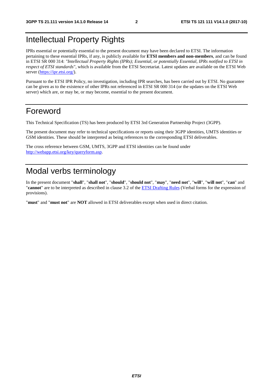# Intellectual Property Rights

IPRs essential or potentially essential to the present document may have been declared to ETSI. The information pertaining to these essential IPRs, if any, is publicly available for **ETSI members and non-members**, and can be found in ETSI SR 000 314: *"Intellectual Property Rights (IPRs); Essential, or potentially Essential, IPRs notified to ETSI in respect of ETSI standards"*, which is available from the ETSI Secretariat. Latest updates are available on the ETSI Web server ([https://ipr.etsi.org/\)](https://ipr.etsi.org/).

Pursuant to the ETSI IPR Policy, no investigation, including IPR searches, has been carried out by ETSI. No guarantee can be given as to the existence of other IPRs not referenced in ETSI SR 000 314 (or the updates on the ETSI Web server) which are, or may be, or may become, essential to the present document.

### Foreword

This Technical Specification (TS) has been produced by ETSI 3rd Generation Partnership Project (3GPP).

The present document may refer to technical specifications or reports using their 3GPP identities, UMTS identities or GSM identities. These should be interpreted as being references to the corresponding ETSI deliverables.

The cross reference between GSM, UMTS, 3GPP and ETSI identities can be found under [http://webapp.etsi.org/key/queryform.asp.](http://webapp.etsi.org/key/queryform.asp)

## Modal verbs terminology

In the present document "**shall**", "**shall not**", "**should**", "**should not**", "**may**", "**need not**", "**will**", "**will not**", "**can**" and "**cannot**" are to be interpreted as described in clause 3.2 of the [ETSI Drafting Rules](https://portal.etsi.org/Services/editHelp!/Howtostart/ETSIDraftingRules.aspx) (Verbal forms for the expression of provisions).

"**must**" and "**must not**" are **NOT** allowed in ETSI deliverables except when used in direct citation.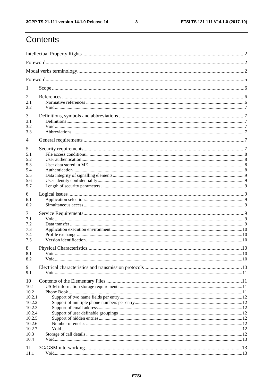ETSI TS 121 111 V14.1.0 (2017-10)

# Contents

| $\mathbf{I}$   |  |  |  |  |  |  |
|----------------|--|--|--|--|--|--|
| 2<br>2.1       |  |  |  |  |  |  |
| 2.2            |  |  |  |  |  |  |
| 3<br>3.1       |  |  |  |  |  |  |
| 3.2            |  |  |  |  |  |  |
| 3.3            |  |  |  |  |  |  |
| 4              |  |  |  |  |  |  |
| 5              |  |  |  |  |  |  |
| 5.1            |  |  |  |  |  |  |
| 5.2            |  |  |  |  |  |  |
| 5.3<br>5.4     |  |  |  |  |  |  |
| 5.5            |  |  |  |  |  |  |
| 5.6            |  |  |  |  |  |  |
| 5.7            |  |  |  |  |  |  |
| 6              |  |  |  |  |  |  |
| 6.1            |  |  |  |  |  |  |
| 6.2            |  |  |  |  |  |  |
| 7              |  |  |  |  |  |  |
| 7.1            |  |  |  |  |  |  |
| 7.2            |  |  |  |  |  |  |
| 7.3<br>7.4     |  |  |  |  |  |  |
| 7.5            |  |  |  |  |  |  |
|                |  |  |  |  |  |  |
| 8<br>8.1       |  |  |  |  |  |  |
| 8.2            |  |  |  |  |  |  |
|                |  |  |  |  |  |  |
| 9<br>9.1       |  |  |  |  |  |  |
|                |  |  |  |  |  |  |
| 10             |  |  |  |  |  |  |
| 10.1<br>10.2   |  |  |  |  |  |  |
| 10.2.1         |  |  |  |  |  |  |
| 10.2.2         |  |  |  |  |  |  |
| 10.2.3         |  |  |  |  |  |  |
| 10.2.4         |  |  |  |  |  |  |
| 10.2.5         |  |  |  |  |  |  |
| 10.2.6         |  |  |  |  |  |  |
| 10.2.7<br>10.3 |  |  |  |  |  |  |
| 10.4           |  |  |  |  |  |  |
| 11             |  |  |  |  |  |  |
| 11.1           |  |  |  |  |  |  |
|                |  |  |  |  |  |  |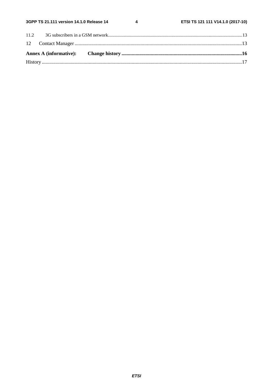$\overline{\mathbf{4}}$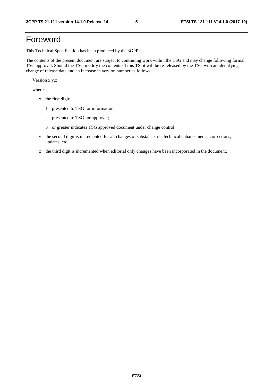# Foreword

This Technical Specification has been produced by the 3GPP.

The contents of the present document are subject to continuing work within the TSG and may change following formal TSG approval. Should the TSG modify the contents of this TS, it will be re-released by the TSG with an identifying change of release date and an increase in version number as follows:

Version x.y.z

where:

- x the first digit:
	- 1 presented to TSG for information;
	- 2 presented to TSG for approval;
	- 3 or greater indicates TSG approved document under change control.
- y the second digit is incremented for all changes of substance, i.e. technical enhancements, corrections, updates, etc.
- z the third digit is incremented when editorial only changes have been incorporated in the document.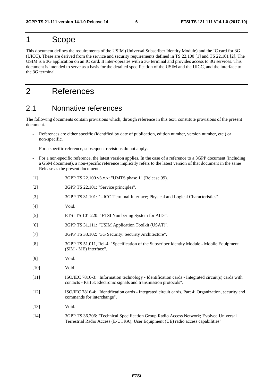### 1 Scope

This document defines the requirements of the USIM (Universal Subscriber Identity Module) and the IC card for 3G (UICC). These are derived from the service and security requirements defined in TS 22.100 [1] and TS 22.101 [2]. The USIM is a 3G application on an IC card. It inter-operates with a 3G terminal and provides access to 3G services. This document is intended to serve as a basis for the detailed specification of the USIM and the UICC, and the interface to the 3G terminal.

# 2 References

### 2.1 Normative references

The following documents contain provisions which, through reference in this text, constitute provisions of the present document.

- References are either specific (identified by date of publication, edition number, version number, etc.) or non-specific.
- For a specific reference, subsequent revisions do not apply.
- For a non-specific reference, the latest version applies. In the case of a reference to a 3GPP document (including a GSM document), a non-specific reference implicitly refers to the latest version of that document in the same Release as the present document.
- [1] 3GPP TS 22.100 v3.x.x: "UMTS phase 1" (Release 99).
- [2] 3GPP TS 22.101: "Service principles".
- [3] 3GPP TS 31.101: "UICC-Terminal Interface; Physical and Logical Characteristics".
- [4] Void.
- [5] ETSI TS 101 220: "ETSI Numbering System for AIDs".
- [6] 3GPP TS 31.111: "USIM Application Toolkit (USAT)".
- [7] 3GPP TS 33.102: "3G Security: Security Architecture".
- [8] 3GPP TS 51.011, Rel-4: "Specification of the Subscriber Identity Module Mobile Equipment (SIM - ME) interface".
- [9] Void.
- [10] Void.
- [11] ISO/IEC 7816-3: "Information technology Identification cards Integrated circuit(s) cards with contacts - Part 3: Electronic signals and transmission protocols".
- [12] ISO/IEC 7816-4: "Identification cards Integrated circuit cards, Part 4: Organization, security and commands for interchange".
- [13] **Void.**
- [14] 3GPP TS 36.306: "Technical Specification Group Radio Access Network; Evolved Universal Terrestrial Radio Access (E-UTRA); User Equipment (UE) radio access capabilities"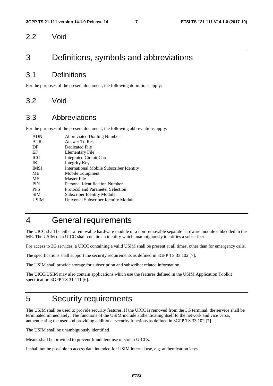#### 2.2 Void

### 3 Definitions, symbols and abbreviations

#### 3.1 Definitions

For the purposes of the present document, the following definitions apply:

#### 3.2 Void

#### 3.3 Abbreviations

For the purposes of the present document, the following abbreviations apply:

| <b>ADN</b>  | <b>Abbreviated Dialling Number</b>       |
|-------------|------------------------------------------|
| <b>ATR</b>  | Answer To Reset                          |
| DF          | Dedicated File                           |
| EF          | Elementary File                          |
| <b>ICC</b>  | <b>Integrated Circuit Card</b>           |
| IK          | Integrity Key                            |
| <b>IMSI</b> | International Mobile Subscriber Identity |
| <b>ME</b>   | Mobile Equipment                         |
| MF          | Master File                              |
| <b>PIN</b>  | Personal Identification Number           |
| <b>PPS</b>  | Protocol and Parameter Selection         |
| <b>SIM</b>  | <b>Subscriber Identity Module</b>        |
| <b>USIM</b> | Universal Subscriber Identity Module     |
|             |                                          |

# 4 General requirements

The UICC shall be either a removable hardware module or a non-removable separate hardware module embedded in the ME. The USIM on a UICC shall contain an identity which unambiguously identifies a subscriber.

For access to 3G services, a UICC containing a valid USIM shall be present at all times, other than for emergency calls.

The specifications shall support the security requirements as defined in 3GPP TS 33.102 [7].

The USIM shall provide storage for subscription and subscriber related information.

The UICC/USIM may also contain applications which use the features defined in the USIM Application Toolkit specification 3GPP TS 31.111 [6].

### 5 Security requirements

The USIM shall be used to provide security features. If the UICC is removed from the 3G terminal, the service shall be terminated immediately. The functions of the USIM include authenticating itself to the network and vice versa, authenticating the user and providing additional security functions as defined in 3GPP TS 33.102 [7].

The USIM shall be unambiguously identified.

Means shall be provided to prevent fraudulent use of stolen UICCs.

It shall not be possible to access data intended for USIM internal use, e.g. authentication keys.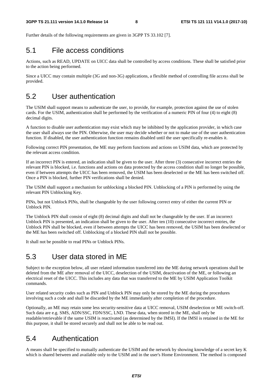Further details of the following requirements are given in 3GPP TS 33.102 [7].

#### 5.1 File access conditions

Actions, such as READ, UPDATE on UICC data shall be controlled by access conditions. These shall be satisfied prior to the action being performed.

Since a UICC may contain multiple (3G and non-3G) applications, a flexible method of controlling file access shall be provided.

### 5.2 User authentication

The USIM shall support means to authenticate the user, to provide, for example, protection against the use of stolen cards. For the USIM, authentication shall be performed by the verification of a numeric PIN of four (4) to eight (8) decimal digits.

A function to disable user authentication may exist which may be inhibited by the application provider, in which case the user shall always use the PIN. Otherwise, the user may decide whether or not to make use of the user authentication function. If disabled, the user authentication function remains disabled until the user specifically re-enables it.

Following correct PIN presentation, the ME may perform functions and actions on USIM data, which are protected by the relevant access condition.

If an incorrect PIN is entered, an indication shall be given to the user. After three (3) consecutive incorrect entries the relevant PIN is blocked, i.e. functions and actions on data protected by the access condition shall no longer be possible, even if between attempts the UICC has been removed, the USIM has been deselected or the ME has been switched off. Once a PIN is blocked, further PIN verifications shall be denied.

The USIM shall support a mechanism for unblocking a blocked PIN. Unblocking of a PIN is performed by using the relevant PIN Unblocking Key.

PINs, but not Unblock PINs, shall be changeable by the user following correct entry of either the current PIN or Unblock PIN.

The Unblock PIN shall consist of eight (8) decimal digits and shall not be changeable by the user. If an incorrect Unblock PIN is presented, an indication shall be given to the user. After ten (10) consecutive incorrect entries, the Unblock PIN shall be blocked, even if between attempts the UICC has been removed, the USIM has been deselected or the ME has been switched off. Unblocking of a blocked PIN shall not be possible.

It shall not be possible to read PINs or Unblock PINs.

#### 5.3 User data stored in ME

Subject to the exception below, all user related information transferred into the ME during network operations shall be deleted from the ME after removal of the UICC, deselection of the USIM, deactivation of the ME, or following an electrical reset of the UICC. This includes any data that was transferred to the ME by USIM Application Toolkit commands.

User related security codes such as PIN and Unblock PIN may only be stored by the ME during the procedures involving such a code and shall be discarded by the ME immediately after completion of the procedure.

Optionally, an ME may retain some less security-sensitive data at UICC removal, USIM deselection or ME switch-off. Such data are e.g. SMS, ADN/SSC, FDN/SSC, LND. These data, when stored in the ME, shall only be readable/retrievable if the same USIM is reactivated (as determined by the IMSI). If the IMSI is retained in the ME for this purpose, it shall be stored securely and shall not be able to be read out.

#### 5.4 Authentication

A means shall be specified to mutually authenticate the USIM and the network by showing knowledge of a secret key K which is shared between and available only to the USIM and in the user's Home Environment. The method is composed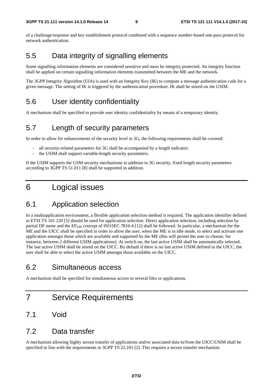of a challenge/response and key establishment protocol combined with a sequence number-based one-pass protocol for network authentication.

### 5.5 Data integrity of signalling elements

Some signalling information elements are considered sensitive and must be integrity protected. An integrity function shall be applied on certain signalling information elements transmitted between the ME and the network.

The 3GPP Integrity Algorithm (UIA) is used with an Integrity Key (IK) to compute a message authentication code for a given message. The setting of IK is triggered by the authentication procedure. IK shall be stored on the USIM.

### 5.6 User identity confidentiality

A mechanism shall be specified to provide user identity confidentiality by means of a temporary identity.

#### 5.7 Length of security parameters

In order to allow for enhancements of the security level in 3G, the following requirements shall be covered:

- all security-related parameters for 3G shall be accompanied by a length indicator;
- the USIM shall support variable-length security parameters.

If the USIM supports the GSM security mechanisms in addition to 3G security, fixed length security parameters according to 3GPP TS 51.011 [8] shall be supported in addition.

## 6 Logical issues

### 6.1 Application selection

In a multiapplication environment, a flexible application selection method is required. The application identifier defined in ETSI TS 101 220 [5] should be used for application selection. Direct application selection, including selection by partial DF name and the  $EF_{DR}$  concept of ISO/IEC 7816-4 [12] shall be followed. In particular, a mechanism for the ME and the UICC shall be specified in order to allow the user, when the ME is in idle mode, to select and activate one application amongst those which are available and supported by the ME (this will permit the user to choose, for instance, between 2 different USIM applications). At switch on, the last active USIM shall be automatically selected. The last active USIM shall be stored on the UICC. By default if there is no last active USIM defined in the UICC, the user shall be able to select the active USIM amongst those available on the UICC.

### 6.2 Simultaneous access

A mechanism shall be specified for simultaneous access to several files or applications.

## 7 Service Requirements

#### 7.1 Void

#### 7.2 Data transfer

A mechanism allowing highly secure transfer of applications and/or associated data to/from the UICC/USIM shall be specified in line with the requirements in 3GPP TS 22.101 [2]. This requires a secure transfer mechanism.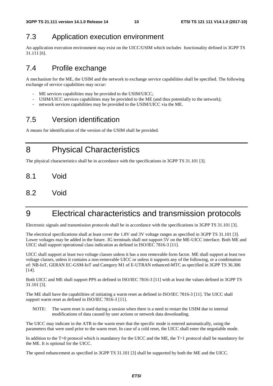## 7.3 Application execution environment

An application execution environment may exist on the UICC/USIM which includes functionality defined in 3GPP TS 31.111 [6].

## 7.4 Profile exchange

A mechanism for the ME, the USIM and the network to exchange service capabilities shall be specified. The following exchange of service capabilities may occur:

- ME services capabilities may be provided to the USIM/UICC:
- USIM/UICC services capabilities may be provided to the ME (and thus potentially to the network);
- network services capabilities may be provided to the USIM/UICC via the ME.

## 7.5 Version identification

A means for identification of the version of the USIM shall be provided.

8 Physical Characteristics

The physical characteristics shall be in accordance with the specifications in 3GPP TS 31.101 [3].

- 8.1 Void
- 8.2 Void

# 9 Electrical characteristics and transmission protocols

Electronic signals and transmission protocols shall be in accordance with the specifications in 3GPP TS 31.101 [3].

The electrical specifications shall at least cover the 1.8V and 3V voltage ranges as specified in 3GPP TS 31.101 [3]. Lower voltages may be added in the future. 3G terminals shall not support 5V on the ME-UICC interface. Both ME and UICC shall support operational class indication as defined in ISO/IEC 7816-3 [11].

UICC shall support at least two voltage classes unless it has a non removable form factor. ME shall support at least two voltage classes, unless it contains a non-removable UICC or unless it supports any of the following, or a combination of: NB-IoT, GERAN EC-GSM-IoT and Category M1 of E-UTRAN enhanced-MTC as specified in 3GPP TS 36.306 [14].

Both UICC and ME shall support PPS as defined in ISO/IEC 7816-3 [11] with at least the values defined in 3GPP TS 31.101 [3].

The ME shall have the capabilities of initiating a warm reset as defined in ISO/IEC 7816-3 [11]. The UICC shall support warm reset as defined in ISO/IEC 7816-3 [11].

NOTE: The warm reset is used during a session when there is a need to restart the USIM due to internal modifications of data caused by user actions or network data downloading.

The UICC may indicate in the ATR to the warm reset that the specific mode is entered automatically, using the parameters that were used prior to the warm reset. In case of a cold reset, the UICC shall enter the negotiable mode.

In addition to the  $T=0$  protocol which is mandatory for the UICC and the ME, the  $T=1$  protocol shall be mandatory for the ME. It is optional for the UICC.

The speed enhancement as specified in 3GPP TS 31.101 [3] shall be supported by both the ME and the UICC.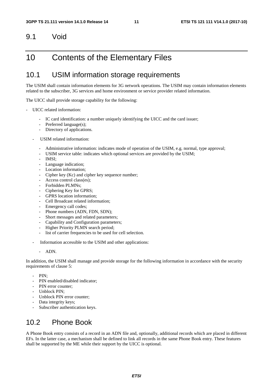#### 9.1 Void

### 10 Contents of the Elementary Files

#### 10.1 USIM information storage requirements

The USIM shall contain information elements for 3G network operations. The USIM may contain information elements related to the subscriber, 3G services and home environment or service provider related information.

The UICC shall provide storage capability for the following:

- UICC related information:
	- IC card identification: a number uniquely identifying the UICC and the card issuer;
	- Preferred language(s);
	- Directory of applications.
	- USIM related information:
		- Administrative information: indicates mode of operation of the USIM, e.g. normal, type approval;
		- USIM service table: indicates which optional services are provided by the USIM;
		- IMSI:
		- Language indication:
		- Location information;
		- Cipher key (Kc) and cipher key sequence number;
		- Access control class(es);
		- Forbidden PLMNs:
		- Ciphering Key for GPRS;
		- GPRS location information;
		- Cell Broadcast related information;
		- Emergency call codes;
		- Phone numbers (ADN, FDN, SDN);
		- Short messages and related parameters;
		- Capability and Configuration parameters;
		- Higher Priority PLMN search period;
		- list of carrier frequencies to be used for cell selection.
	- Information accessible to the USIM and other applications:
		- ADN.

In addition, the USIM shall manage and provide storage for the following information in accordance with the security requirements of clause 5:

- PIN:
- PIN enabled/disabled indicator;
- PIN error counter;
- Unblock PIN;
- Unblock PIN error counter;
- Data integrity keys;
- Subscriber authentication keys.

### 10.2 Phone Book

A Phone Book entry consists of a record in an ADN file and, optionally, additional records which are placed in different EFs. In the latter case, a mechanism shall be defined to link all records in the same Phone Book entry. These features shall be supported by the ME while their support by the UICC is optional.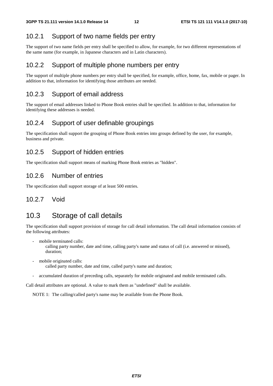#### 10.2.1 Support of two name fields per entry

The support of two name fields per entry shall be specified to allow, for example, for two different representations of the same name (for example, in Japanese characters and in Latin characters).

#### 10.2.2 Support of multiple phone numbers per entry

The support of multiple phone numbers per entry shall be specified, for example, office, home, fax, mobile or pager. In addition to that, information for identifying those attributes are needed.

#### 10.2.3 Support of email address

The support of email addresses linked to Phone Book entries shall be specified. In addition to that, information for identifying these addresses is needed.

#### 10.2.4 Support of user definable groupings

The specification shall support the grouping of Phone Book entries into groups defined by the user, for example, business and private.

#### 10.2.5 Support of hidden entries

The specification shall support means of marking Phone Book entries as "hidden".

#### 10.2.6 Number of entries

The specification shall support storage of at least 500 entries.

#### 10.2.7 Void

### 10.3 Storage of call details

The specification shall support provision of storage for call detail information. The call detail information consists of the following attributes:

mobile terminated calls:

 calling party number, date and time, calling party's name and status of call (i.e. answered or missed), duration;

- mobile originated calls: called party number, date and time, called party's name and duration;
- accumulated duration of preceding calls, separately for mobile originated and mobile terminated calls.

Call detail attributes are optional. A value to mark them as "undefined" shall be available.

NOTE 1: The calling/called party's name may be available from the Phone Book.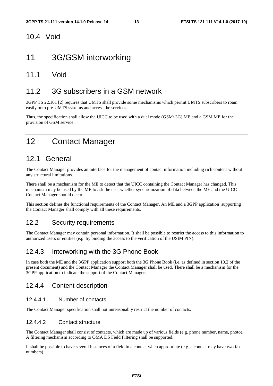#### 10.4 Void

### 11 3G/GSM interworking

#### 11.1 Void

### 11.2 3G subscribers in a GSM network

3GPP TS 22.101 [2] requires that UMTS shall provide some mechanisms which permit UMTS subscribers to roam easily onto pre-UMTS systems and access the services.

Thus, the specification shall allow the UICC to be used with a dual mode (GSM/ 3G) ME and a GSM ME for the provision of GSM service.

## 12 Contact Manager

### 12.1 General

The Contact Manager provides an interface for the management of contact information including rich content without any structural limitations.

There shall be a mechanism for the ME to detect that the UICC containing the Contact Manager has changed. This mechanism may be used by the ME to ask the user whether synchronization of data between the ME and the UICC Contact Manager should occur.

This section defines the functional requirements of the Contact Manager. An ME and a 3GPP application supporting the Contact Manager shall comply with all these requirements.

#### 12.2 Security requirements

The Contact Manager may contain personal information. It shall be possible to restrict the access to this information to authorized users or entities (e.g. by binding the access to the verification of the USIM PIN).

#### 12.4.3 Interworking with the 3G Phone Book

In case both the ME and the 3GPP application support both the 3G Phone Book (i.e. as defined in section 10.2 of the present document) and the Contact Manager the Contact Manager shall be used. There shall be a mechanism for the 3GPP application to indicate the support of the Contact Manager.

#### 12.4.4 Content description

#### 12.4.4.1 Number of contacts

The Contact Manager specification shall not unreasonably restrict the number of contacts.

#### 12.4.4.2 Contact structure

The Contact Manager shall consist of contacts, which are made up of various fields (e.g. phone number, name, photo). A filtering mechanism according to OMA DS Field Filtering shall be supported.

It shall be possible to have several instances of a field in a contact when appropriate (e.g. a contact may have two fax numbers).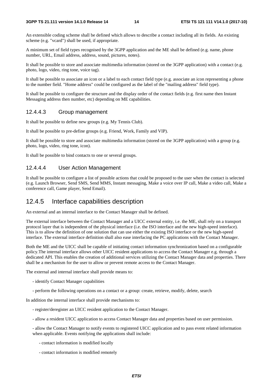An extensible coding scheme shall be defined which allows to describe a contact including all its fields. An existing scheme (e.g. "vcard") shall be used, if appropriate.

A minimum set of field types recognised by the 3GPP application and the ME shall be defined (e.g. name, phone number, URL, Email address, address, sound, pictures, notes).

It shall be possible to store and associate multimedia information (stored on the 3GPP application) with a contact (e.g. photo, logo, video, ring tone, voice tag).

It shall be possible to associate an icon or a label to each contact field type (e.g. associate an icon representing a phone to the number field. "Home address" could be configured as the label of the "mailing address" field type).

It shall be possible to configure the structure and the display order of the contact fields (e.g. first name then Instant Messaging address then number, etc) depending on ME capabilities.

#### 12.4.4.3 Group management

It shall be possible to define new groups (e.g. My Tennis Club).

It shall be possible to pre-define groups (e.g. Friend, Work, Family and VIP).

It shall be possible to store and associate multimedia information (stored on the 3GPP application) with a group (e.g. photo, logo, video, ring tone, icon).

It shall be possible to bind contacts to one or several groups.

#### 12.4.4.4 User Action Management

It shall be possible to configure a list of possible actions that could be proposed to the user when the contact is selected (e.g. Launch Browser, Send SMS, Send MMS, Instant messaging, Make a voice over IP call, Make a video call, Make a conference call, Game player, Send Email).

#### 12.4.5 Interface capabilities description

An external and an internal interface to the Contact Manager shall be defined.

The external interface between the Contact Manager and a UICC external entity, i.e. the ME, shall rely on a transport protocol layer that is independent of the physical interface (i.e. the ISO interface and the new high-speed interface). This is to allow the definition of one solution that can use either the existing ISO interface or the new high-speed interface. The external interface definition shall also ease interfacing the PC applications with the Contact Manager.

Both the ME and the UICC shall be capable of initiating contact information synchronization based on a configurable policy.The internal interface allows other UICC resident applications to access the Contact Manager e.g. through a dedicated API. This enables the creation of additional services utilizing the Contact Manager data and properties. There shall be a mechanism for the user to allow or prevent remote access to the Contact Manager.

The external and internal interface shall provide means to:

- identify Contact Manager capabilities
- perform the following operations on a contact or a group: create, retrieve, modify, delete, search

In addition the internal interface shall provide mechanisms to:

- register/deregister an UICC resident application to the Contact Manager.
- allow a resident UICC application to access Contact Manager data and properties based on user permission.

- allow the Contact Manager to notify events to registered UICC application and to pass event related information when applicable. Events notifying the applications shall include:

- contact information is modified locally
- contact information is modified remotely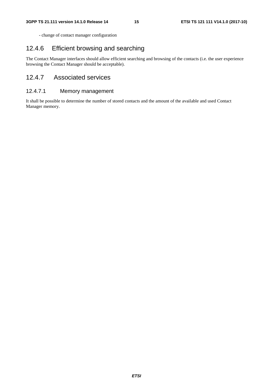- change of contact manager configuration

#### 12.4.6 Efficient browsing and searching

The Contact Manager interfaces should allow efficient searching and browsing of the contacts (i.e. the user experience browsing the Contact Manager should be acceptable).

#### 12.4.7 Associated services

#### 12.4.7.1 Memory management

It shall be possible to determine the number of stored contacts and the amount of the available and used Contact Manager memory.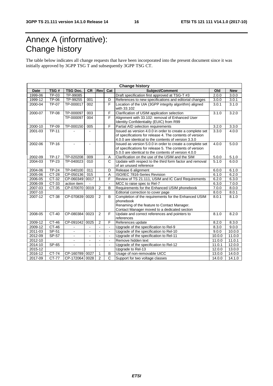# Annex A (informative): Change history

The table below indicates all change requests that have been incorporated into the present document since it was initially approved by 3GPP TSG T and subsequently 3GPP TSG CT.

| <b>Change history</b> |              |                          |                  |                |                   |                                                                                                          |        |            |
|-----------------------|--------------|--------------------------|------------------|----------------|-------------------|----------------------------------------------------------------------------------------------------------|--------|------------|
| Date                  | TSG#         | <b>TSG Doc.</b>          | <b>CR</b>        | Rev            | Cat               | Subject/Comment                                                                                          | Old    | <b>New</b> |
| 1999-06               | TP-03        | TP-99085                 |                  |                |                   | Draft specification first approved at TSG-T #3                                                           | 2.0.0  | 3.0.0      |
| 1999-12               | TP-06        | TP-99255                 | 001              |                | D                 | References to new specifications and editorial changes                                                   | 3.0.0  | 3.0.1      |
| 2000-04               | <b>TP-07</b> | TP-000017                | 002              |                | F                 | Location of the UIA (3GPP integrity algorithm) aligned<br>3.0.1                                          |        | 3.1.0      |
|                       |              |                          |                  |                |                   | with 33.102                                                                                              |        |            |
| 2000-07               | <b>TP-08</b> | TP-000097                | 003              |                |                   | F<br>Clarification of USIM application selection<br>3.1.0                                                |        | 3.2.0      |
|                       |              | TP-000097                | 004              |                | $\overline{F}$    | Alignment with 33.102: removal of Enhanced User                                                          |        |            |
|                       |              |                          |                  |                |                   | Identity Confidentiality (EUIC) from R99                                                                 |        |            |
| 2000-10               | <b>TP-09</b> | TP-000150                | 005              |                | F                 | Partial AID selection requirements                                                                       | 3.2.0  | 3.3.0      |
| 2001-03               | <b>TP-11</b> |                          |                  |                |                   | Issued as version 4.0.0 in order to create a complete set                                                | 3.3.0  | 4.0.0      |
|                       |              |                          |                  |                |                   | of specifications for release 4. The contents of version                                                 |        |            |
|                       |              |                          |                  |                |                   | 4.0.0 are identical to the contents of version 3.3.0                                                     |        |            |
| 2002-06               | TP-16        | $\overline{a}$           | $\blacksquare$   |                |                   | Issued as version 5.0.0 in order to create a complete set                                                | 4.0.0  | 5.0.0      |
|                       |              |                          |                  |                |                   | of specifications for release 5. The contents of version                                                 |        |            |
| 2002-09               | <b>TP-17</b> | TP-020208                | 009              |                |                   | 5.0.0 are identical to the contents of version 4.0.0<br>Clarification on the use of the USIM and the SIM | 5.0.0  | 5.1.0      |
| 2004-03               | <b>TP-23</b> | TP-040023                | 010              |                | Α<br>$\mathsf{C}$ | Update with respect to the third form factor and removal                                                 | 5.1.0  | 6.0.0      |
|                       |              |                          |                  |                |                   | of an unused reference                                                                                   |        |            |
| 2004-06               | <b>TP-24</b> | TP-040100                | 011              |                | D                 | Release 6 alignment                                                                                      | 6.0.0  | 6.1.0      |
| 2005-06               | $CT-28$      | CP-050136                | $\overline{015}$ |                | A                 | ISO/IEC 7816-Series Revision                                                                             | 6.1.0  | 6.2.0      |
| $2006 - 05$           | CT-32        | CP-060349                | 0017             | 1              | F                 | Review of TS 21.111, USIM and IC Card Requirements                                                       | 6.2.0  | 6.3.0      |
| 2006-09               | $CT-33$      | action item              |                  |                | $\blacksquare$    | MCC to raise spec to Rel-7                                                                               | 6.3.0  | 7.0.0      |
| 2007-03               | CT-35        | CP-070070                | 0019             | $\overline{2}$ | B                 | Requirements for the Enhanced USIM phonebook                                                             | 7.0.0  | 8.0.0      |
| 2007-10               |              |                          |                  |                |                   | Editorial correction to cover page                                                                       | 8.0.0  | 8.0.1      |
| 2007-12               | CT-38        | CP-070839                | 0020             | 2              | B                 | Completion of the requirements for the Enhanced USIM                                                     | 8.0.1  | 8.1.0      |
|                       |              |                          |                  |                |                   | phonebook                                                                                                |        |            |
|                       |              |                          |                  |                |                   | Renaming of the feature to Contact Manager.                                                              |        |            |
|                       |              |                          |                  |                |                   | Contact Manager moved to a dedicated section                                                             |        |            |
| 2008-05               | $CT-40$      | CP-080384                | 0023             | $\overline{2}$ | F                 | Update and correct references and pointers to                                                            | 8.1.0  | 8.2.0      |
|                       |              |                          |                  |                |                   | references                                                                                               |        |            |
| 2009-12               | CT-46        | CP-091042                | 0025             | $\overline{2}$ | F                 | References update                                                                                        | 8.2.0  | 8.3.0      |
| 2009-12               | $CT-46$      |                          |                  |                |                   | Upgrade of the specification to Rel-9                                                                    | 8.3.0  | 9.0.0      |
| 2011-03               | $SP-51$      |                          | $\overline{a}$   |                | $\mathbf{r}$      | Upgrade of the specification to Rel-10                                                                   | 9.0.0  | 10.0.0     |
| 2012-09               | $SP-57$      | $\blacksquare$           | $\blacksquare$   | $\blacksquare$ | $\mathbf{r}$      | Upgrade of the specification to Rel-11                                                                   | 10.0.0 | 11.0.0     |
| 2012-10               |              | $\blacksquare$           | $\blacksquare$   | $\sim$         | $\blacksquare$    | Remove hidden text                                                                                       | 11.0.0 | 11.0.1     |
| 2014-10               | SP-65        | $\overline{\phantom{a}}$ | $\blacksquare$   | $\blacksquare$ | $\blacksquare$    | Upgrade of the specification to Rel-12                                                                   | 11.0.1 | 12.0.0     |
| 2015-12               |              |                          |                  |                |                   | Upgrade to Rel-13                                                                                        | 12.0.0 | 13.0.0     |
| 2016-12               | CT-74        | CP-160789                | 0027             | 1              | B                 | Usage of non-removable UICC                                                                              | 13.0.0 | 14.0.0     |
| 2017-09               | CT-77        | CP-172064 0028           |                  | $\mathfrak{p}$ | $\overline{C}$    | Support for two voltage classes                                                                          | 14.0.0 | 14.1.0     |